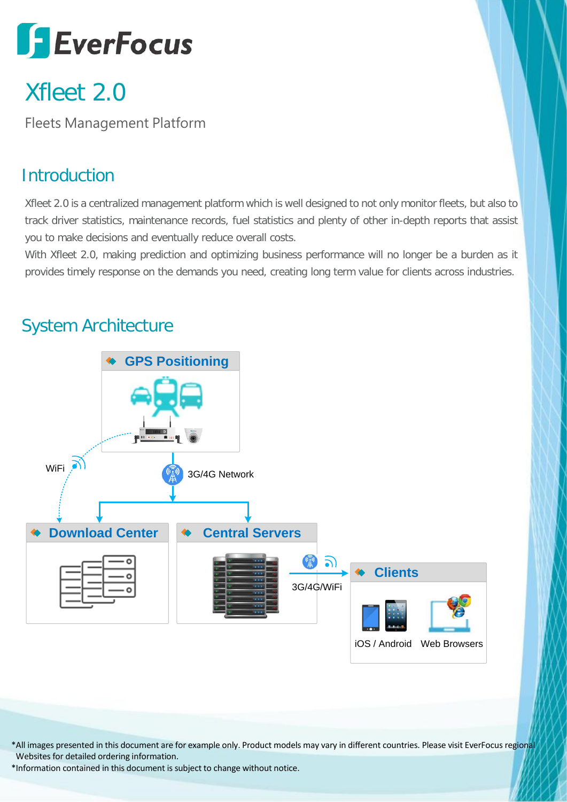# **SEverFocus**

# Xfleet 2.0

Fleets Management Platform

# **Introduction**

Xfleet 2.0 is a centralized management platform which is well designed to not only monitor fleets, but also to track driver statistics, maintenance records, fuel statistics and plenty of other in-depth reports that assist you to make decisions and eventually reduce overall costs.

With Xfleet 2.0, making prediction and optimizing business performance will no longer be a burden as it provides timely response on the demands you need, creating long term value for clients across industries.

## System Architecture



\*All images presented in this document are for example only. Product models may vary in different countries. Please visit EverFocus regional Websites for detailed ordering information.

\*Information contained in this document is subject to change without notice.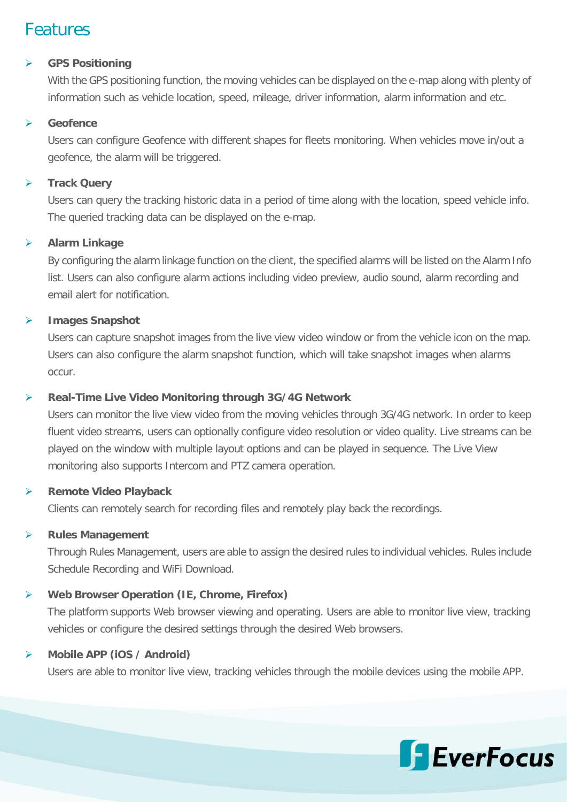### Features

#### **GPS Positioning**

With the GPS positioning function, the moving vehicles can be displayed on the e-map along with plenty of information such as vehicle location, speed, mileage, driver information, alarm information and etc.

#### **Geofence**

Users can configure Geofence with different shapes for fleets monitoring. When vehicles move in/out a geofence, the alarm will be triggered.

#### **Track Query**

Users can query the tracking historic data in a period of time along with the location, speed vehicle info. The queried tracking data can be displayed on the e-map.

#### **Alarm Linkage**

By configuring the alarm linkage function on the client, the specified alarms will be listed on the Alarm Info list. Users can also configure alarm actions including video preview, audio sound, alarm recording and email alert for notification.

#### **Images Snapshot**

Users can capture snapshot images from the live view video window or from the vehicle icon on the map. Users can also configure the alarm snapshot function, which will take snapshot images when alarms occur.

#### **Real-Time Live Video Monitoring through 3G/4G Network**

Users can monitor the live view video from the moving vehicles through 3G/4G network. In order to keep fluent video streams, users can optionally configure video resolution or video quality. Live streams can be played on the window with multiple layout options and can be played in sequence. The Live View monitoring also supports Intercom and PTZ camera operation.

#### **Remote Video Playback**

Clients can remotely search for recording files and remotely play back the recordings.

#### **Rules Management**

Through Rules Management, users are able to assign the desired rules to individual vehicles. Rules include Schedule Recording and WiFi Download.

#### **Web Browser Operation (IE, Chrome, Firefox)**

The platform supports Web browser viewing and operating. Users are able to monitor live view, tracking vehicles or configure the desired settings through the desired Web browsers.

#### **Mobile APP (iOS / Android)**

Users are able to monitor live view, tracking vehicles through the mobile devices using the mobile APP.